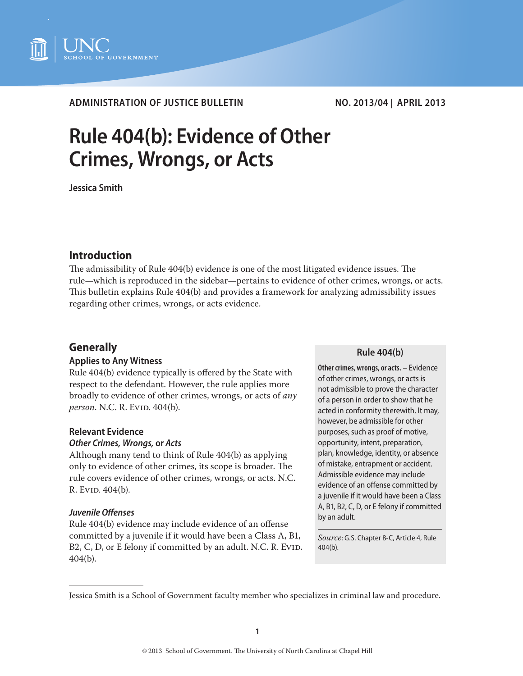

# **ADMINISTRATION OF JUSTICE BULLETIN NO. 2013/04 | APRIL 2013**

# **Rule 404(b): Evidence of Other Crimes, Wrongs, or Acts**

**Jessica Smith**

# **Introduction**

The admissibility of Rule 404(b) evidence is one of the most litigated evidence issues. The rule—which is reproduced in the sidebar—pertains to evidence of other crimes, wrongs, or acts. This bulletin explains Rule 404(b) and provides a framework for analyzing admissibility issues regarding other crimes, wrongs, or acts evidence.

# **Generally**

### **Applies to Any Witness**

Rule 404(b) evidence typically is offered by the State with respect to the defendant. However, the rule applies more broadly to evidence of other crimes, wrongs, or acts of *any person.* N.C. R. Evid. 404(b).

### **Relevant Evidence**

#### *Other Crimes, Wrongs,* **or** *Acts*

Although many tend to think of Rule 404(b) as applying only to evidence of other crimes, its scope is broader. The rule covers evidence of other crimes, wrongs, or acts. N.C. R. Evid. 404(b).

#### *Juvenile Offenses*

Rule 404(b) evidence may include evidence of an offense committed by a juvenile if it would have been a Class A, B1, B2, C, D, or E felony if committed by an adult. N.C. R. Ev1D. 404(b).

#### **Rule 404(b)**

**Other crimes, wrongs, or acts.** – Evidence of other crimes, wrongs, or acts is not admissible to prove the character of a person in order to show that he acted in conformity therewith. It may, however, be admissible for other purposes, such as proof of motive, opportunity, intent, preparation, plan, knowledge, identity, or absence of mistake, entrapment or accident. Admissible evidence may include evidence of an offense committed by a juvenile if it would have been a Class A, B1, B2, C, D, or E felony if committed by an adult.

*Source*: G.S. Chapter 8-C, Article 4, Rule 404(b).

Jessica Smith is a School of Government faculty member who specializes in criminal law and procedure.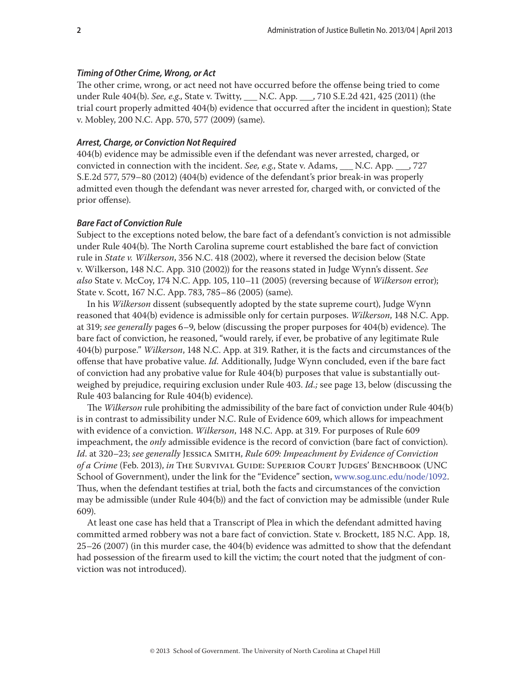#### *Timing of Other Crime, Wrong, or Act*

The other crime, wrong, or act need not have occurred before the offense being tried to come under Rule 404(b). *See, e.g*., State v. Twitty, \_\_\_ N.C. App. \_\_\_, 710 S.E.2d 421, 425 (2011) (the trial court properly admitted 404(b) evidence that occurred after the incident in question); State v. Mobley, 200 N.C. App. 570, 577 (2009) (same).

#### *Arrest, Charge, or Conviction Not Required*

404(b) evidence may be admissible even if the defendant was never arrested, charged, or convicted in connection with the incident. *See, e.g*., State v. Adams, \_\_\_ N.C. App. \_\_\_, 727 S.E.2d 577, 579–80 (2012) (404(b) evidence of the defendant's prior break-in was properly admitted even though the defendant was never arrested for, charged with, or convicted of the prior offense).

#### *Bare Fact of Conviction Rule*

Subject to the exceptions noted below, the bare fact of a defendant's conviction is not admissible under Rule 404(b). The North Carolina supreme court established the bare fact of conviction rule in *State v. Wilkerson*, 356 N.C. 418 (2002), where it reversed the decision below (State v. Wilkerson, 148 N.C. App. 310 (2002)) for the reasons stated in Judge Wynn's dissent. *See also* State v. McCoy, 174 N.C. App. 105, 110–11 (2005) (reversing because of *Wilkerson* error); State v. Scott, 167 N.C. App. 783, 785–86 (2005) (same).

In his *Wilkerson* dissent (subsequently adopted by the state supreme court), Judge Wynn reasoned that 404(b) evidence is admissible only for certain purposes. *Wilkerson*, 148 N.C. App. at 319; *see generally* pages 6–9, below (discussing the proper purposes for 404(b) evidence). The bare fact of conviction, he reasoned, "would rarely, if ever, be probative of any legitimate Rule 404(b) purpose." *Wilkerson*, 148 N.C. App. at 319. Rather, it is the facts and circumstances of the offense that have probative value. *Id.* Additionally, Judge Wynn concluded, even if the bare fact of conviction had any probative value for Rule 404(b) purposes that value is substantially outweighed by prejudice, requiring exclusion under Rule 403. *Id.;* see page 13, below (discussing the Rule 403 balancing for Rule 404(b) evidence).

The *Wilkerson* rule prohibiting the admissibility of the bare fact of conviction under Rule 404(b) is in contrast to admissibility under N.C. Rule of Evidence 609, which allows for impeachment with evidence of a conviction. *Wilkerson*, 148 N.C. App. at 319. For purposes of Rule 609 impeachment, the *only* admissible evidence is the record of conviction (bare fact of conviction). *Id*. at 320–23; *see generally* Jessica Smith, *[Rule 609: Impeachment by Evidence of Conviction](http://www.sog.unc.edu/node/3156)  [of a Crime](http://www.sog.unc.edu/node/3156)* (Feb. 2013), *in* The Survival Guide: Superior Court Judges' Benchbook (UNC School of Government), under the link for the "Evidence" section, www.sog.unc.edu/node/1092. Thus, when the defendant testifies at trial, both the facts and circumstances of the conviction may be admissible (under Rule 404(b)) and the fact of conviction may be admissible (under Rule 609).

At least one case has held that a Transcript of Plea in which the defendant admitted having committed armed robbery was not a bare fact of conviction. State v. Brockett, 185 N.C. App. 18, 25–26 (2007) (in this murder case, the 404(b) evidence was admitted to show that the defendant had possession of the firearm used to kill the victim; the court noted that the judgment of conviction was not introduced).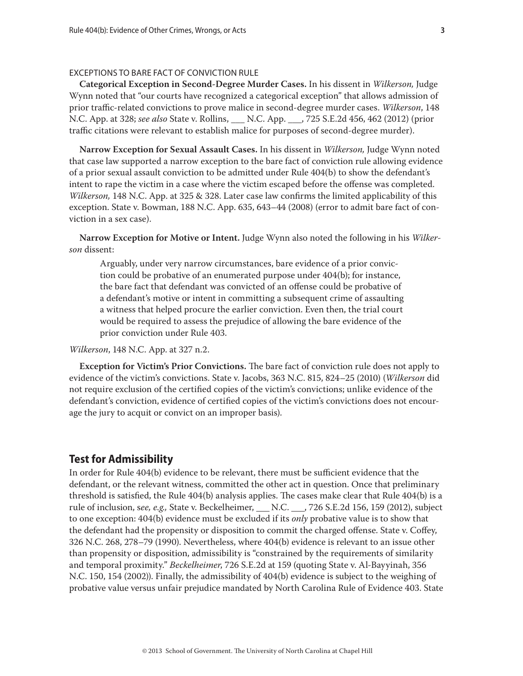#### EXCEPTIONS TO BARE FACT OF CONVICTION RULE

**Categorical Exception in Second-Degree Murder Cases.** In his dissent in *Wilkerson,* Judge Wynn noted that "our courts have recognized a categorical exception" that allows admission of prior traffic-related convictions to prove malice in second-degree murder cases. *Wilkerson*, 148 N.C. App. at 328; *see also* State v. Rollins, \_\_\_ N.C. App. \_\_\_, 725 S.E.2d 456, 462 (2012) (prior traffic citations were relevant to establish malice for purposes of second-degree murder).

**Narrow Exception for Sexual Assault Cases.** In his dissent in *Wilkerson,* Judge Wynn noted that case law supported a narrow exception to the bare fact of conviction rule allowing evidence of a prior sexual assault conviction to be admitted under Rule 404(b) to show the defendant's intent to rape the victim in a case where the victim escaped before the offense was completed. *Wilkerson,* 148 N.C. App. at 325 & 328. Later case law confirms the limited applicability of this exception. State v. Bowman, 188 N.C. App. 635, 643–44 (2008) (error to admit bare fact of conviction in a sex case).

**Narrow Exception for Motive or Intent.** Judge Wynn also noted the following in his *Wilkerson* dissent:

Arguably, under very narrow circumstances, bare evidence of a prior conviction could be probative of an enumerated purpose under 404(b); for instance, the bare fact that defendant was convicted of an offense could be probative of a defendant's motive or intent in committing a subsequent crime of assaulting a witness that helped procure the earlier conviction. Even then, the trial court would be required to assess the prejudice of allowing the bare evidence of the prior conviction under Rule 403.

#### *Wilkerson*, 148 N.C. App. at 327 n.2.

**Exception for Victim's Prior Convictions.** The bare fact of conviction rule does not apply to evidence of the victim's convictions. State v. Jacobs, 363 N.C. 815, 824–25 (2010) (*Wilkerson* did not require exclusion of the certified copies of the victim's convictions; unlike evidence of the defendant's conviction, evidence of certified copies of the victim's convictions does not encourage the jury to acquit or convict on an improper basis).

## **Test for Admissibility**

In order for Rule 404(b) evidence to be relevant, there must be sufficient evidence that the defendant, or the relevant witness, committed the other act in question. Once that preliminary threshold is satisfied, the Rule 404(b) analysis applies. The cases make clear that Rule 404(b) is a rule of inclusion, s*ee, e.g.,* State v. Beckelheimer, \_\_\_ N.C. \_\_\_, 726 S.E.2d 156, 159 (2012), subject to one exception: 404(b) evidence must be excluded if its *only* probative value is to show that the defendant had the propensity or disposition to commit the charged offense. State v. Coffey, 326 N.C. 268, 278–79 (1990). Nevertheless, where 404(b) evidence is relevant to an issue other than propensity or disposition, admissibility is "constrained by the requirements of similarity and temporal proximity." *Beckelheimer*, 726 S.E.2d at 159 (quoting State v. Al-Bayyinah, 356 N.C. 150, 154 (2002)). Finally, the admissibility of 404(b) evidence is subject to the weighing of probative value versus unfair prejudice mandated by North Carolina Rule of Evidence 403. State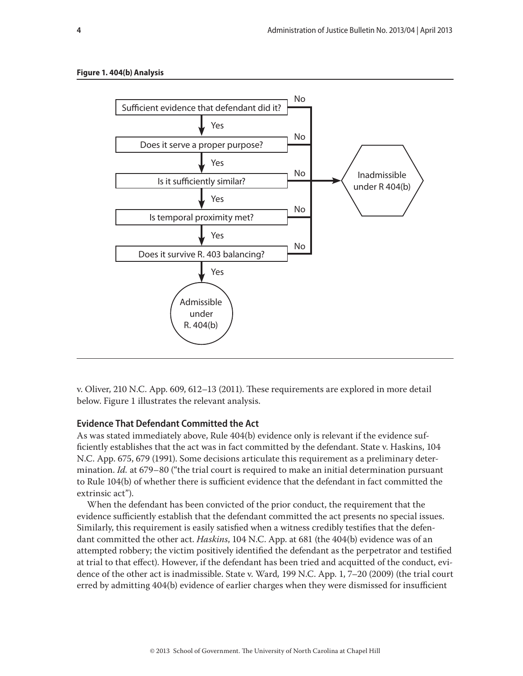

v. Oliver, 210 N.C. App. 609, 612–13 (2011). These requirements are explored in more detail below. Figure 1 illustrates the relevant analysis.

#### **Evidence That Defendant Committed the Act**

As was stated immediately above, Rule 404(b) evidence only is relevant if the evidence sufficiently establishes that the act was in fact committed by the defendant. State v. Haskins, 104 N.C. App. 675, 679 (1991). Some decisions articulate this requirement as a preliminary determination. *Id.* at 679–80 ("the trial court is required to make an initial determination pursuant to Rule 104(b) of whether there is sufficient evidence that the defendant in fact committed the extrinsic act").

When the defendant has been convicted of the prior conduct, the requirement that the evidence sufficiently establish that the defendant committed the act presents no special issues. Similarly, this requirement is easily satisfied when a witness credibly testifies that the defendant committed the other act. *Haskins*, 104 N.C. App. at 681 (the 404(b) evidence was of an attempted robbery; the victim positively identified the defendant as the perpetrator and testified at trial to that effect). However, if the defendant has been tried and acquitted of the conduct, evidence of the other act is inadmissible. State v. Ward*,* 199 N.C. App. 1, 7–20 (2009) (the trial court erred by admitting 404(b) evidence of earlier charges when they were dismissed for insufficient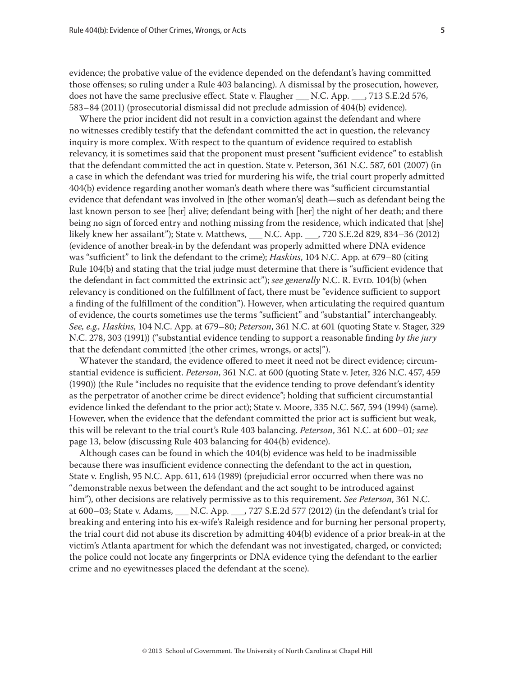evidence; the probative value of the evidence depended on the defendant's having committed those offenses; so ruling under a Rule 403 balancing). A dismissal by the prosecution, however, does not have the same preclusive effect. State v. Flaugher N.C. App.  $\,$ , 713 S.E.2d 576, 583–84 (2011) (prosecutorial dismissal did not preclude admission of 404(b) evidence).

Where the prior incident did not result in a conviction against the defendant and where no witnesses credibly testify that the defendant committed the act in question, the relevancy inquiry is more complex. With respect to the quantum of evidence required to establish relevancy, it is sometimes said that the proponent must present "sufficient evidence" to establish that the defendant committed the act in question. State v. Peterson, 361 N.C. 587, 601 (2007) (in a case in which the defendant was tried for murdering his wife, the trial court properly admitted 404(b) evidence regarding another woman's death where there was "sufficient circumstantial evidence that defendant was involved in [the other woman's] death—such as defendant being the last known person to see [her] alive; defendant being with [her] the night of her death; and there being no sign of forced entry and nothing missing from the residence, which indicated that [she] likely knew her assailant"); State v. Matthews, \_\_\_ N.C. App. \_\_\_, 720 S.E.2d 829, 834–36 (2012) (evidence of another break-in by the defendant was properly admitted where DNA evidence was "sufficient" to link the defendant to the crime); *Haskins*, 104 N.C. App. at 679–80 (citing Rule 104(b) and stating that the trial judge must determine that there is "sufficient evidence that the defendant in fact committed the extrinsic act"); *see generally* N.C. R. Evid. 104(b) (when relevancy is conditioned on the fulfillment of fact, there must be "evidence sufficient to support a finding of the fulfillment of the condition"). However, when articulating the required quantum of evidence, the courts sometimes use the terms "sufficient" and "substantial" interchangeably. *See, e.g., Haskins*, 104 N.C. App. at 679–80; *Peterson*, 361 N.C. at 601 (quoting State v. Stager, 329 N.C. 278, 303 (1991)) ("substantial evidence tending to support a reasonable finding *by the jury* that the defendant committed [the other crimes, wrongs, or acts]").

Whatever the standard, the evidence offered to meet it need not be direct evidence; circumstantial evidence is sufficient. *Peterson*, 361 N.C. at 600 (quoting State v. Jeter, 326 N.C. 457, 459 (1990)) (the Rule "includes no requisite that the evidence tending to prove defendant's identity as the perpetrator of another crime be direct evidence"; holding that sufficient circumstantial evidence linked the defendant to the prior act); State v. Moore, 335 N.C. 567, 594 (1994) (same). However, when the evidence that the defendant committed the prior act is sufficient but weak, this will be relevant to the trial court's Rule 403 balancing. *Peterson*, 361 N.C. at 600–01*; see*  page 13, below (discussing Rule 403 balancing for 404(b) evidence).

Although cases can be found in which the 404(b) evidence was held to be inadmissible because there was insufficient evidence connecting the defendant to the act in question, State v. English, 95 N.C. App. 611, 614 (1989) (prejudicial error occurred when there was no "demonstrable nexus between the defendant and the act sought to be introduced against him"), other decisions are relatively permissive as to this requirement. *See Peterson*, 361 N.C. at 600–03; State v. Adams, \_\_\_ N.C. App. \_\_\_, 727 S.E.2d 577 (2012) (in the defendant's trial for breaking and entering into his ex-wife's Raleigh residence and for burning her personal property, the trial court did not abuse its discretion by admitting 404(b) evidence of a prior break-in at the victim's Atlanta apartment for which the defendant was not investigated, charged, or convicted; the police could not locate any fingerprints or DNA evidence tying the defendant to the earlier crime and no eyewitnesses placed the defendant at the scene).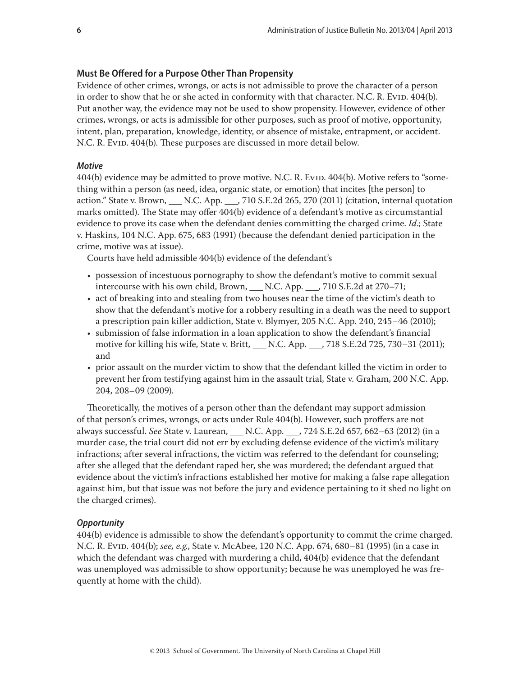#### **Must Be Offered for a Purpose Other Than Propensity**

Evidence of other crimes, wrongs, or acts is not admissible to prove the character of a person in order to show that he or she acted in conformity with that character. N.C. R. Evip. 404(b). Put another way, the evidence may not be used to show propensity. However, evidence of other crimes, wrongs, or acts is admissible for other purposes, such as proof of motive, opportunity, intent, plan, preparation, knowledge, identity, or absence of mistake, entrapment, or accident. N.C. R. Evid. 404(b). These purposes are discussed in more detail below.

#### *Motive*

404(b) evidence may be admitted to prove motive. N.C. R. Evid. 404(b). Motive refers to "something within a person (as need, idea, organic state, or emotion) that incites [the person] to action." State v. Brown, \_\_\_ N.C. App. \_\_\_, 710 S.E.2d 265, 270 (2011) (citation, internal quotation marks omitted). The State may offer 404(b) evidence of a defendant's motive as circumstantial evidence to prove its case when the defendant denies committing the charged crime. *Id*.; State v. Haskins, 104 N.C. App. 675, 683 (1991) (because the defendant denied participation in the crime, motive was at issue).

Courts have held admissible 404(b) evidence of the defendant's

- possession of incestuous pornography to show the defendant's motive to commit sexual intercourse with his own child, Brown, \_\_\_ N.C. App. \_\_\_, 710 S.E.2d at 270–71;
- act of breaking into and stealing from two houses near the time of the victim's death to show that the defendant's motive for a robbery resulting in a death was the need to support a prescription pain killer addiction, State v. Blymyer, 205 N.C. App. 240, 245–46 (2010);
- submission of false information in a loan application to show the defendant's financial motive for killing his wife, State v. Britt*,* \_\_\_ N.C. App. \_\_\_, 718 S.E.2d 725, 730–31 (2011); and
- prior assault on the murder victim to show that the defendant killed the victim in order to prevent her from testifying against him in the assault trial, State v. Graham, 200 N.C. App. 204, 208–09 (2009).

Theoretically, the motives of a person other than the defendant may support admission of that person's crimes, wrongs, or acts under Rule 404(b). However, such proffers are not always successful. *See* State v. Laurean, \_\_\_ N.C. App. \_\_\_, 724 S.E.2d 657, 662–63 (2012) (in a murder case, the trial court did not err by excluding defense evidence of the victim's military infractions; after several infractions, the victim was referred to the defendant for counseling; after she alleged that the defendant raped her, she was murdered; the defendant argued that evidence about the victim's infractions established her motive for making a false rape allegation against him, but that issue was not before the jury and evidence pertaining to it shed no light on the charged crimes).

#### *Opportunity*

404(b) evidence is admissible to show the defendant's opportunity to commit the crime charged. N.C. R. Evid. 404(b); *see, e.g.*, State v. McAbee, 120 N.C. App. 674, 680–81 (1995) (in a case in which the defendant was charged with murdering a child, 404(b) evidence that the defendant was unemployed was admissible to show opportunity; because he was unemployed he was frequently at home with the child).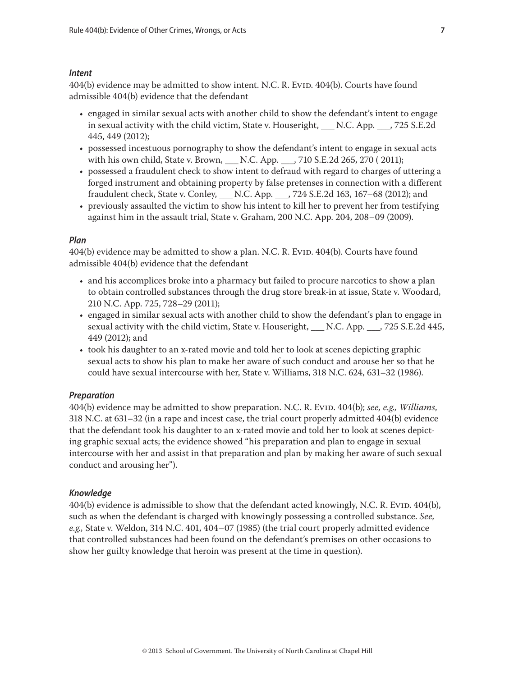#### *Intent*

404(b) evidence may be admitted to show intent. N.C. R. Evid. 404(b). Courts have found admissible 404(b) evidence that the defendant

- engaged in similar sexual acts with another child to show the defendant's intent to engage in sexual activity with the child victim, State v. Houseright, \_\_\_ N.C. App. \_\_, 725 S.E.2d 445, 449 (2012);
- possessed incestuous pornography to show the defendant's intent to engage in sexual acts with his own child, State v. Brown, \_\_\_ N.C. App. \_\_\_, 710 S.E.2d 265, 270 ( 2011);
- possessed a fraudulent check to show intent to defraud with regard to charges of uttering a forged instrument and obtaining property by false pretenses in connection with a different fraudulent check, State v. Conley, \_\_\_ N.C. App. \_\_\_, 724 S.E.2d 163, 167–68 (2012); and
- previously assaulted the victim to show his intent to kill her to prevent her from testifying against him in the assault trial, State v. Graham, 200 N.C. App. 204, 208–09 (2009).

#### *Plan*

404(b) evidence may be admitted to show a plan. N.C. R. Evid. 404(b). Courts have found admissible 404(b) evidence that the defendant

- and his accomplices broke into a pharmacy but failed to procure narcotics to show a plan to obtain controlled substances through the drug store break-in at issue, State v. Woodard, 210 N.C. App. 725, 728–29 (2011);
- engaged in similar sexual acts with another child to show the defendant's plan to engage in sexual activity with the child victim, State v. Houseright, \_\_\_ N.C. App. \_\_\_, 725 S.E.2d 445, 449 (2012); and
- took his daughter to an x-rated movie and told her to look at scenes depicting graphic sexual acts to show his plan to make her aware of such conduct and arouse her so that he could have sexual intercourse with her, State v. Williams, 318 N.C. 624, 631–32 (1986).

#### *Preparation*

404(b) evidence may be admitted to show preparation. N.C. R. Evid. 404(b); *see, e.g., Williams*, 318 N.C. at 631–32 (in a rape and incest case, the trial court properly admitted 404(b) evidence that the defendant took his daughter to an x-rated movie and told her to look at scenes depicting graphic sexual acts; the evidence showed "his preparation and plan to engage in sexual intercourse with her and assist in that preparation and plan by making her aware of such sexual conduct and arousing her").

#### *Knowledge*

404(b) evidence is admissible to show that the defendant acted knowingly, N.C. R. Evip. 404(b), such as when the defendant is charged with knowingly possessing a controlled substance. *See, e.g.,* State v. Weldon, 314 N.C. 401, 404–07 (1985) (the trial court properly admitted evidence that controlled substances had been found on the defendant's premises on other occasions to show her guilty knowledge that heroin was present at the time in question).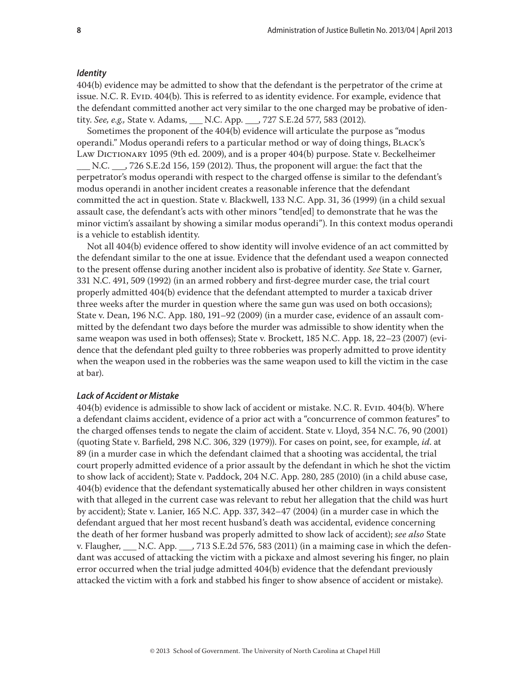#### *Identity*

404(b) evidence may be admitted to show that the defendant is the perpetrator of the crime at issue. N.C. R. Evip. 404(b). This is referred to as identity evidence. For example, evidence that the defendant committed another act very similar to the one charged may be probative of identity. *See, e.g.,* State v. Adams, \_\_\_ N.C. App. \_\_\_, 727 S.E.2d 577, 583 (2012).

Sometimes the proponent of the 404(b) evidence will articulate the purpose as "modus operandi." Modus operandi refers to a particular method or way of doing things, Black's LAW DICTIONARY 1095 (9th ed. 2009), and is a proper 404(b) purpose. State v. Beckelheimer

\_\_\_ N.C. \_\_\_, 726 S.E.2d 156, 159 (2012). Thus, the proponent will argue: the fact that the perpetrator's modus operandi with respect to the charged offense is similar to the defendant's modus operandi in another incident creates a reasonable inference that the defendant committed the act in question. State v. Blackwell, 133 N.C. App. 31, 36 (1999) (in a child sexual assault case, the defendant's acts with other minors "tend[ed] to demonstrate that he was the minor victim's assailant by showing a similar modus operandi"). In this context modus operandi is a vehicle to establish identity.

Not all 404(b) evidence offered to show identity will involve evidence of an act committed by the defendant similar to the one at issue. Evidence that the defendant used a weapon connected to the present offense during another incident also is probative of identity. *See* State v. Garner, 331 N.C. 491, 509 (1992) (in an armed robbery and first-degree murder case, the trial court properly admitted 404(b) evidence that the defendant attempted to murder a taxicab driver three weeks after the murder in question where the same gun was used on both occasions); State v. Dean, 196 N.C. App. 180, 191–92 (2009) (in a murder case, evidence of an assault committed by the defendant two days before the murder was admissible to show identity when the same weapon was used in both offenses); State v. Brockett, 185 N.C. App. 18, 22–23 (2007) (evidence that the defendant pled guilty to three robberies was properly admitted to prove identity when the weapon used in the robberies was the same weapon used to kill the victim in the case at bar).

#### *Lack of Accident or Mistake*

404(b) evidence is admissible to show lack of accident or mistake. N.C. R. Evid. 404(b). Where a defendant claims accident, evidence of a prior act with a "concurrence of common features" to the charged offenses tends to negate the claim of accident. State v. Lloyd, 354 N.C. 76, 90 (2001) (quoting State v. Barfield, 298 N.C. 306, 329 (1979)). For cases on point, see, for example, *id*. at 89 (in a murder case in which the defendant claimed that a shooting was accidental, the trial court properly admitted evidence of a prior assault by the defendant in which he shot the victim to show lack of accident); State v. Paddock, 204 N.C. App. 280, 285 (2010) (in a child abuse case, 404(b) evidence that the defendant systematically abused her other children in ways consistent with that alleged in the current case was relevant to rebut her allegation that the child was hurt by accident); State v. Lanier, 165 N.C. App. 337, 342–47 (2004) (in a murder case in which the defendant argued that her most recent husband's death was accidental, evidence concerning the death of her former husband was properly admitted to show lack of accident); *see also* State v. Flaugher,  $N.C.$  App.  $713 S.E.2d 576, 583 (2011)$  (in a maiming case in which the defendant was accused of attacking the victim with a pickaxe and almost severing his finger, no plain error occurred when the trial judge admitted 404(b) evidence that the defendant previously attacked the victim with a fork and stabbed his finger to show absence of accident or mistake).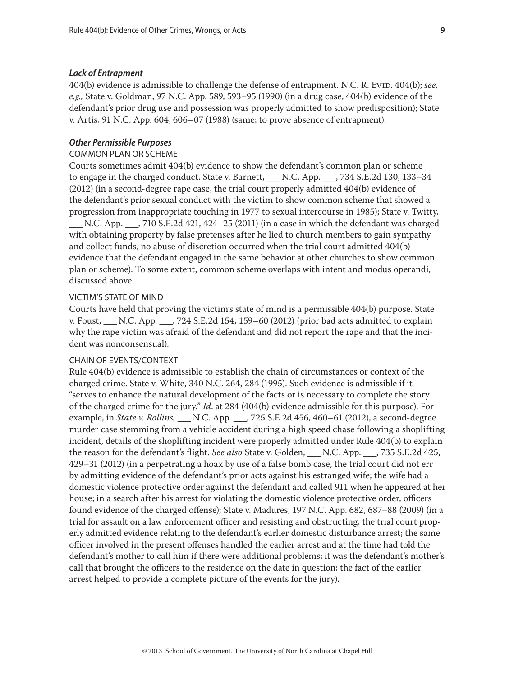#### *Lack of Entrapment*

404(b) evidence is admissible to challenge the defense of entrapment. N.C. R. Evid. 404(b); *see*, *e.g.,* State v. Goldman, 97 N.C. App. 589, 593–95 (1990) (in a drug case, 404(b) evidence of the defendant's prior drug use and possession was properly admitted to show predisposition); State v. Artis, 91 N.C. App. 604, 606–07 (1988) (same; to prove absence of entrapment).

#### *Other Permissible Purposes*

#### COMMON PLAN OR SCHEME

Courts sometimes admit 404(b) evidence to show the defendant's common plan or scheme to engage in the charged conduct. State v. Barnett, \_\_\_ N.C. App. \_\_\_, 734 S.E.2d 130, 133–34 (2012) (in a second-degree rape case, the trial court properly admitted 404(b) evidence of the defendant's prior sexual conduct with the victim to show common scheme that showed a progression from inappropriate touching in 1977 to sexual intercourse in 1985); State v. Twitty,  $\Box$  N.C. App.  $\Box$ , 710 S.E.2d 421, 424–25 (2011) (in a case in which the defendant was charged with obtaining property by false pretenses after he lied to church members to gain sympathy and collect funds, no abuse of discretion occurred when the trial court admitted 404(b)

evidence that the defendant engaged in the same behavior at other churches to show common plan or scheme). To some extent, common scheme overlaps with intent and modus operandi, discussed above.

#### VICTIM'S STATE OF MIND

Courts have held that proving the victim's state of mind is a permissible 404(b) purpose. State v. Foust, \_\_\_ N.C. App. \_\_\_, 724 S.E.2d 154, 159–60 (2012) (prior bad acts admitted to explain why the rape victim was afraid of the defendant and did not report the rape and that the incident was nonconsensual).

#### CHAIN OF EVENTS/CONTEXT

Rule 404(b) evidence is admissible to establish the chain of circumstances or context of the charged crime. State v. White, 340 N.C. 264, 284 (1995). Such evidence is admissible if it "serves to enhance the natural development of the facts or is necessary to complete the story of the charged crime for the jury." *Id*. at 284 (404(b) evidence admissible for this purpose). For example, in *State v. Rollins*, \_\_\_ N.C. App. \_\_\_, 725 S.E.2d 456, 460-61 (2012), a second-degree murder case stemming from a vehicle accident during a high speed chase following a shoplifting incident, details of the shoplifting incident were properly admitted under Rule 404(b) to explain the reason for the defendant's flight. *See also* State v. Golden, \_\_\_ N.C. App. \_\_\_, 735 S.E.2d 425, 429–31 (2012) (in a perpetrating a hoax by use of a false bomb case, the trial court did not err by admitting evidence of the defendant's prior acts against his estranged wife; the wife had a domestic violence protective order against the defendant and called 911 when he appeared at her house; in a search after his arrest for violating the domestic violence protective order, officers found evidence of the charged offense); State v. Madures, 197 N.C. App. 682, 687–88 (2009) (in a trial for assault on a law enforcement officer and resisting and obstructing, the trial court properly admitted evidence relating to the defendant's earlier domestic disturbance arrest; the same officer involved in the present offenses handled the earlier arrest and at the time had told the defendant's mother to call him if there were additional problems; it was the defendant's mother's call that brought the officers to the residence on the date in question; the fact of the earlier arrest helped to provide a complete picture of the events for the jury).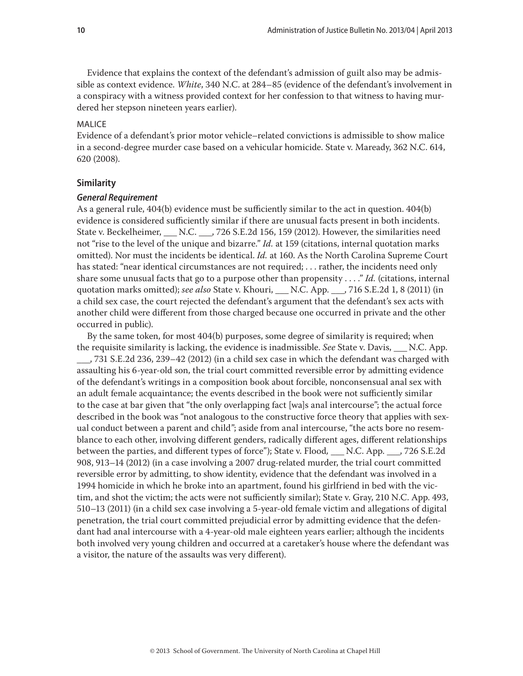Evidence that explains the context of the defendant's admission of guilt also may be admissible as context evidence. *White*, 340 N.C. at 284–85 (evidence of the defendant's involvement in a conspiracy with a witness provided context for her confession to that witness to having murdered her stepson nineteen years earlier).

#### **MALICE**

Evidence of a defendant's prior motor vehicle–related convictions is admissible to show malice in a second-degree murder case based on a vehicular homicide. State v. Maready, 362 N.C. 614, 620 (2008).

#### **Similarity**

#### *General Requirement*

As a general rule, 404(b) evidence must be sufficiently similar to the act in question. 404(b) evidence is considered sufficiently similar if there are unusual facts present in both incidents. State v. Beckelheimer, N.C. . , 726 S.E.2d 156, 159 (2012). However, the similarities need not "rise to the level of the unique and bizarre." *Id.* at 159 (citations, internal quotation marks omitted). Nor must the incidents be identical. *Id.* at 160. As the North Carolina Supreme Court has stated: "near identical circumstances are not required; . . . rather, the incidents need only share some unusual facts that go to a purpose other than propensity . . . ." *Id.* (citations, internal quotation marks omitted); *see also* State v. Khouri, \_\_\_ N.C. App. \_\_\_, 716 S.E.2d 1, 8 (2011) (in a child sex case, the court rejected the defendant's argument that the defendant's sex acts with another child were different from those charged because one occurred in private and the other occurred in public).

By the same token, for most 404(b) purposes, some degree of similarity is required; when the requisite similarity is lacking, the evidence is inadmissible. *See* State v. Davis, \_\_\_ N.C. App. \_\_\_, 731 S.E.2d 236, 239–42 (2012) (in a child sex case in which the defendant was charged with assaulting his 6-year-old son, the trial court committed reversible error by admitting evidence of the defendant's writings in a composition book about forcible, nonconsensual anal sex with an adult female acquaintance; the events described in the book were not sufficiently similar to the case at bar given that "the only overlapping fact [wa]s anal intercourse"; the actual force described in the book was "not analogous to the constructive force theory that applies with sexual conduct between a parent and child"; aside from anal intercourse, "the acts bore no resemblance to each other, involving different genders, radically different ages, different relationships between the parties, and different types of force"); State v. Flood*,* \_\_\_ N.C. App. \_\_\_, 726 S.E.2d 908, 913–14 (2012) (in a case involving a 2007 drug-related murder, the trial court committed reversible error by admitting, to show identity, evidence that the defendant was involved in a 1994 homicide in which he broke into an apartment, found his girlfriend in bed with the victim, and shot the victim; the acts were not sufficiently similar); State v. Gray, 210 N.C. App. 493, 510–13 (2011) (in a child sex case involving a 5-year-old female victim and allegations of digital penetration, the trial court committed prejudicial error by admitting evidence that the defendant had anal intercourse with a 4-year-old male eighteen years earlier; although the incidents both involved very young children and occurred at a caretaker's house where the defendant was a visitor, the nature of the assaults was very different).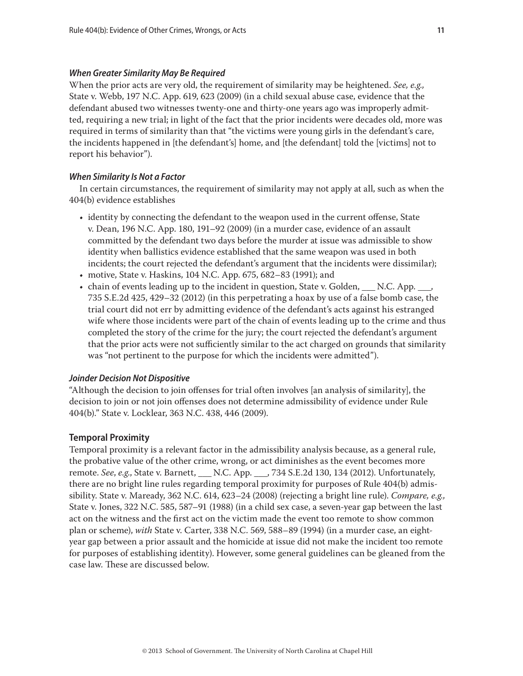#### *When Greater Similarity May Be Required*

When the prior acts are very old, the requirement of similarity may be heightened. *See, e.g.,*  State v. Webb, 197 N.C. App. 619, 623 (2009) (in a child sexual abuse case, evidence that the defendant abused two witnesses twenty-one and thirty-one years ago was improperly admitted, requiring a new trial; in light of the fact that the prior incidents were decades old, more was required in terms of similarity than that "the victims were young girls in the defendant's care, the incidents happened in [the defendant's] home, and [the defendant] told the [victims] not to report his behavior").

#### *When Similarity Is Not a Factor*

In certain circumstances, the requirement of similarity may not apply at all, such as when the 404(b) evidence establishes

- identity by connecting the defendant to the weapon used in the current offense, State v. Dean, 196 N.C. App. 180, 191–92 (2009) (in a murder case, evidence of an assault committed by the defendant two days before the murder at issue was admissible to show identity when ballistics evidence established that the same weapon was used in both incidents; the court rejected the defendant's argument that the incidents were dissimilar);
- motive, State v. Haskins, 104 N.C. App. 675, 682–83 (1991); and
- chain of events leading up to the incident in question, State v. Golden,  $\Box$  N.C. App.  $\Box$ 735 S.E.2d 425, 429–32 (2012) (in this perpetrating a hoax by use of a false bomb case, the trial court did not err by admitting evidence of the defendant's acts against his estranged wife where those incidents were part of the chain of events leading up to the crime and thus completed the story of the crime for the jury; the court rejected the defendant's argument that the prior acts were not sufficiently similar to the act charged on grounds that similarity was "not pertinent to the purpose for which the incidents were admitted").

#### *Joinder Decision Not Dispositive*

"Although the decision to join offenses for trial often involves [an analysis of similarity], the decision to join or not join offenses does not determine admissibility of evidence under Rule 404(b)." State v. Locklear, 363 N.C. 438, 446 (2009).

#### **Temporal Proximity**

Temporal proximity is a relevant factor in the admissibility analysis because, as a general rule, the probative value of the other crime, wrong, or act diminishes as the event becomes more remote. *See*, *e.g*., State v. Barnett, \_\_\_ N.C. App. \_\_\_, 734 S.E.2d 130, 134 (2012). Unfortunately, there are no bright line rules regarding temporal proximity for purposes of Rule 404(b) admissibility. State v. Maready, 362 N.C. 614, 623–24 (2008) (rejecting a bright line rule). *Compare, e.g.,*  State v. Jones, 322 N.C. 585, 587–91 (1988) (in a child sex case, a seven-year gap between the last act on the witness and the first act on the victim made the event too remote to show common plan or scheme), *with* State v. Carter, 338 N.C. 569, 588–89 (1994) (in a murder case, an eightyear gap between a prior assault and the homicide at issue did not make the incident too remote for purposes of establishing identity). However, some general guidelines can be gleaned from the case law. These are discussed below.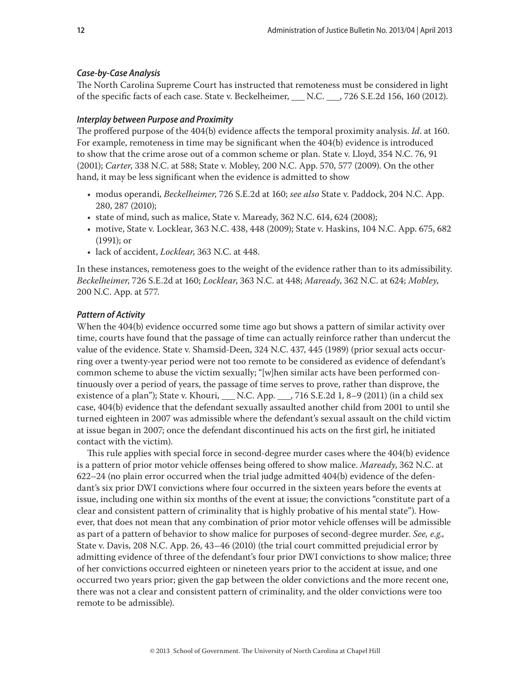#### *Case-by-Case Analysis*

The North Carolina Supreme Court has instructed that remoteness must be considered in light of the specific facts of each case. State v. Beckelheimer, \_\_\_ N.C. \_\_\_, 726 S.E.2d 156, 160 (2012).

#### *Interplay between Purpose and Proximity*

The proffered purpose of the 404(b) evidence affects the temporal proximity analysis. *Id*. at 160. For example, remoteness in time may be significant when the 404(b) evidence is introduced to show that the crime arose out of a common scheme or plan. State v. Lloyd, 354 N.C. 76, 91 (2001); *Carter*, 338 N.C. at 588; State v. Mobley, 200 N.C. App. 570, 577 (2009). On the other hand, it may be less significant when the evidence is admitted to show

- modus operandi, *Beckelheimer*, 726 S.E.2d at 160; *see also* State v. Paddock, 204 N.C. App. 280, 287 (2010);
- state of mind, such as malice, State v. Maready, 362 N.C. 614, 624 (2008);
- motive, State v. Locklear, 363 N.C. 438, 448 (2009); State v. Haskins, 104 N.C. App. 675, 682 (1991); or
- lack of accident, *Locklear*, 363 N.C. at 448.

In these instances, remoteness goes to the weight of the evidence rather than to its admissibility. *Beckelheimer*, 726 S.E.2d at 160; *Locklear*, 363 N.C. at 448; *Maready*, 362 N.C. at 624; *Mobley*, 200 N.C. App. at 577.

#### *Pattern of Activity*

When the 404(b) evidence occurred some time ago but shows a pattern of similar activity over time, courts have found that the passage of time can actually reinforce rather than undercut the value of the evidence. State v. Shamsid-Deen, 324 N.C. 437, 445 (1989) (prior sexual acts occurring over a twenty-year period were not too remote to be considered as evidence of defendant's common scheme to abuse the victim sexually; "[w]hen similar acts have been performed continuously over a period of years, the passage of time serves to prove, rather than disprove, the existence of a plan"); State v. Khouri, \_\_\_ N.C. App. \_\_\_, 716 S.E.2d 1, 8-9 (2011) (in a child sex case, 404(b) evidence that the defendant sexually assaulted another child from 2001 to until she turned eighteen in 2007 was admissible where the defendant's sexual assault on the child victim at issue began in 2007; once the defendant discontinued his acts on the first girl, he initiated contact with the victim).

This rule applies with special force in second-degree murder cases where the 404(b) evidence is a pattern of prior motor vehicle offenses being offered to show malice. *Maready*, 362 N.C. at 622–24 (no plain error occurred when the trial judge admitted 404(b) evidence of the defendant's six prior DWI convictions where four occurred in the sixteen years before the events at issue, including one within six months of the event at issue; the convictions "constitute part of a clear and consistent pattern of criminality that is highly probative of his mental state"). However, that does not mean that any combination of prior motor vehicle offenses will be admissible as part of a pattern of behavior to show malice for purposes of second-degree murder. *See, e.g*., State v. Davis, 208 N.C. App. 26, 43–46 (2010) (the trial court committed prejudicial error by admitting evidence of three of the defendant's four prior DWI convictions to show malice; three of her convictions occurred eighteen or nineteen years prior to the accident at issue, and one occurred two years prior; given the gap between the older convictions and the more recent one, there was not a clear and consistent pattern of criminality, and the older convictions were too remote to be admissible).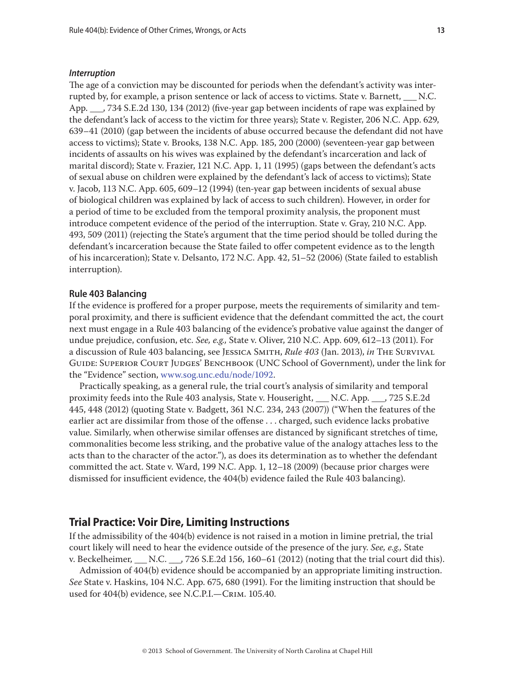#### *Interruption*

The age of a conviction may be discounted for periods when the defendant's activity was interrupted by, for example, a prison sentence or lack of access to victims. State v. Barnett, \_\_\_ N.C. App. \_\_\_, 734 S.E.2d 130, 134 (2012) (five-year gap between incidents of rape was explained by the defendant's lack of access to the victim for three years); State v. Register, 206 N.C. App. 629, 639–41 (2010) (gap between the incidents of abuse occurred because the defendant did not have access to victims); State v. Brooks, 138 N.C. App. 185, 200 (2000) (seventeen-year gap between incidents of assaults on his wives was explained by the defendant's incarceration and lack of marital discord); State v. Frazier, 121 N.C. App. 1, 11 (1995) (gaps between the defendant's acts of sexual abuse on children were explained by the defendant's lack of access to victims); State v. Jacob, 113 N.C. App. 605, 609–12 (1994) (ten-year gap between incidents of sexual abuse of biological children was explained by lack of access to such children). However, in order for a period of time to be excluded from the temporal proximity analysis, the proponent must introduce competent evidence of the period of the interruption. State v. Gray, 210 N.C. App. 493, 509 (2011) (rejecting the State's argument that the time period should be tolled during the defendant's incarceration because the State failed to offer competent evidence as to the length of his incarceration); State v. Delsanto, 172 N.C. App. 42, 51–52 (2006) (State failed to establish interruption).

#### **Rule 403 Balancing**

If the evidence is proffered for a proper purpose, meets the requirements of similarity and temporal proximity, and there is sufficient evidence that the defendant committed the act, the court next must engage in a Rule 403 balancing of the evidence's probative value against the danger of undue prejudice, confusion, etc. *See, e.g.,* State v. Oliver, 210 N.C. App. 609, 612–13 (2011). For a discussion of Rule 403 balancing, see Jessica Smith, *Rule 403* (Jan. 2013), *in* The Survival GUIDE: SUPERIOR COURT JUDGES' BENCHBOOK (UNC School of Government), under the link for the "Evidence" section, www.sog.unc.edu/node/1092.

Practically speaking, as a general rule, the trial court's analysis of similarity and temporal proximity feeds into the Rule 403 analysis, State v. Houseright, \_\_\_ N.C. App. \_\_\_, 725 S.E.2d 445, 448 (2012) (quoting State v. Badgett, 361 N.C. 234, 243 (2007)) ("When the features of the earlier act are dissimilar from those of the offense . . . charged, such evidence lacks probative value. Similarly, when otherwise similar offenses are distanced by significant stretches of time, commonalities become less striking, and the probative value of the analogy attaches less to the acts than to the character of the actor."), as does its determination as to whether the defendant committed the act. State v. Ward, 199 N.C. App. 1, 12–18 (2009) (because prior charges were dismissed for insufficient evidence, the 404(b) evidence failed the Rule 403 balancing).

### **Trial Practice: Voir Dire, Limiting Instructions**

If the admissibility of the 404(b) evidence is not raised in a motion in limine pretrial, the trial court likely will need to hear the evidence outside of the presence of the jury. *See, e.g.,* State v. Beckelheimer, \_\_\_ N.C. \_\_\_, 726 S.E.2d 156, 160–61 (2012) (noting that the trial court did this).

Admission of 404(b) evidence should be accompanied by an appropriate limiting instruction. *See* State v. Haskins, 104 N.C. App. 675, 680 (1991). For the limiting instruction that should be used for 404(b) evidence, see N.C.P.I.—Crim. 105.40.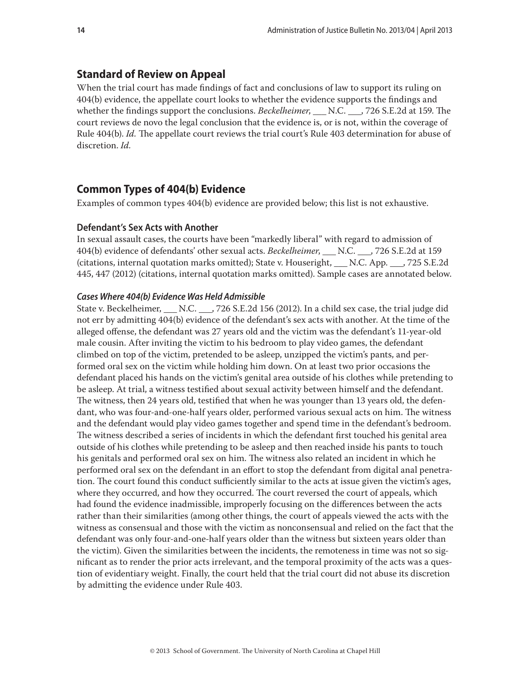### **Standard of Review on Appeal**

When the trial court has made findings of fact and conclusions of law to support its ruling on 404(b) evidence, the appellate court looks to whether the evidence supports the findings and whether the findings support the conclusions. *Beckelheimer*, \_\_\_ N.C. \_\_\_, 726 S.E.2d at 159. The court reviews de novo the legal conclusion that the evidence is, or is not, within the coverage of Rule 404(b). *Id.* The appellate court reviews the trial court's Rule 403 determination for abuse of discretion. *Id.*

# **Common Types of 404(b) Evidence**

Examples of common types 404(b) evidence are provided below; this list is not exhaustive.

#### **Defendant's Sex Acts with Another**

In sexual assault cases, the courts have been "markedly liberal" with regard to admission of 404(b) evidence of defendants' other sexual acts. *Beckelheimer*, \_\_\_ N.C. \_\_\_, 726 S.E.2d at 159 (citations, internal quotation marks omitted); State v. Houseright, \_\_\_ N.C. App. \_\_\_, 725 S.E.2d 445, 447 (2012) (citations, internal quotation marks omitted). Sample cases are annotated below.

#### *Cases Where 404(b) Evidence Was Held Admissible*

State v. Beckelheimer, \_\_\_ N.C. \_\_\_, 726 S.E.2d 156 (2012). In a child sex case, the trial judge did not err by admitting 404(b) evidence of the defendant's sex acts with another. At the time of the alleged offense, the defendant was 27 years old and the victim was the defendant's 11-year-old male cousin. After inviting the victim to his bedroom to play video games, the defendant climbed on top of the victim, pretended to be asleep, unzipped the victim's pants, and performed oral sex on the victim while holding him down. On at least two prior occasions the defendant placed his hands on the victim's genital area outside of his clothes while pretending to be asleep. At trial, a witness testified about sexual activity between himself and the defendant. The witness, then 24 years old, testified that when he was younger than 13 years old, the defendant, who was four-and-one-half years older, performed various sexual acts on him. The witness and the defendant would play video games together and spend time in the defendant's bedroom. The witness described a series of incidents in which the defendant first touched his genital area outside of his clothes while pretending to be asleep and then reached inside his pants to touch his genitals and performed oral sex on him. The witness also related an incident in which he performed oral sex on the defendant in an effort to stop the defendant from digital anal penetration. The court found this conduct sufficiently similar to the acts at issue given the victim's ages, where they occurred, and how they occurred. The court reversed the court of appeals, which had found the evidence inadmissible, improperly focusing on the differences between the acts rather than their similarities (among other things, the court of appeals viewed the acts with the witness as consensual and those with the victim as nonconsensual and relied on the fact that the defendant was only four-and-one-half years older than the witness but sixteen years older than the victim). Given the similarities between the incidents, the remoteness in time was not so significant as to render the prior acts irrelevant, and the temporal proximity of the acts was a question of evidentiary weight. Finally, the court held that the trial court did not abuse its discretion by admitting the evidence under Rule 403.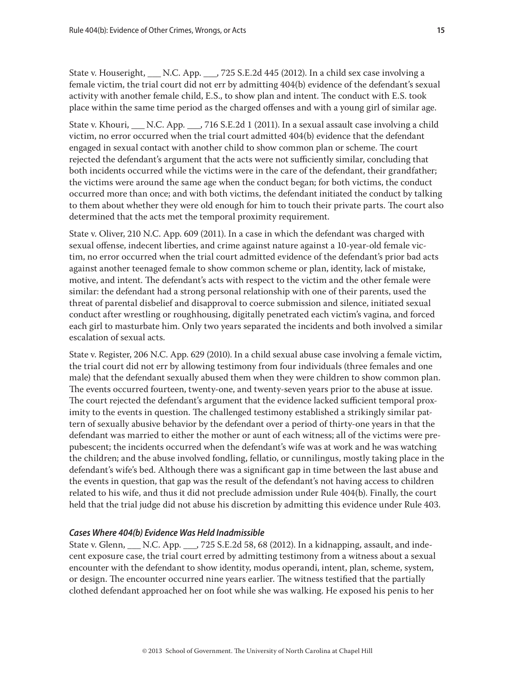State v. Houseright,  $\ldots$  N.C. App.  $\ldots$ , 725 S.E.2d 445 (2012). In a child sex case involving a female victim, the trial court did not err by admitting 404(b) evidence of the defendant's sexual activity with another female child, E.S., to show plan and intent. The conduct with E.S. took place within the same time period as the charged offenses and with a young girl of similar age.

State v. Khouri, N.C. App.  $\,$ , 716 S.E.2d 1 (2011). In a sexual assault case involving a child victim, no error occurred when the trial court admitted 404(b) evidence that the defendant engaged in sexual contact with another child to show common plan or scheme. The court rejected the defendant's argument that the acts were not sufficiently similar, concluding that both incidents occurred while the victims were in the care of the defendant, their grandfather; the victims were around the same age when the conduct began; for both victims, the conduct occurred more than once; and with both victims, the defendant initiated the conduct by talking to them about whether they were old enough for him to touch their private parts. The court also determined that the acts met the temporal proximity requirement.

State v. Oliver, 210 N.C. App. 609 (2011). In a case in which the defendant was charged with sexual offense, indecent liberties, and crime against nature against a 10-year-old female victim, no error occurred when the trial court admitted evidence of the defendant's prior bad acts against another teenaged female to show common scheme or plan, identity, lack of mistake, motive, and intent. The defendant's acts with respect to the victim and the other female were similar: the defendant had a strong personal relationship with one of their parents, used the threat of parental disbelief and disapproval to coerce submission and silence, initiated sexual conduct after wrestling or roughhousing, digitally penetrated each victim's vagina, and forced each girl to masturbate him. Only two years separated the incidents and both involved a similar escalation of sexual acts.

State v. Register, 206 N.C. App. 629 (2010). In a child sexual abuse case involving a female victim, the trial court did not err by allowing testimony from four individuals (three females and one male) that the defendant sexually abused them when they were children to show common plan. The events occurred fourteen, twenty-one, and twenty-seven years prior to the abuse at issue. The court rejected the defendant's argument that the evidence lacked sufficient temporal proximity to the events in question. The challenged testimony established a strikingly similar pattern of sexually abusive behavior by the defendant over a period of thirty-one years in that the defendant was married to either the mother or aunt of each witness; all of the victims were prepubescent; the incidents occurred when the defendant's wife was at work and he was watching the children; and the abuse involved fondling, fellatio, or cunnilingus, mostly taking place in the defendant's wife's bed. Although there was a significant gap in time between the last abuse and the events in question, that gap was the result of the defendant's not having access to children related to his wife, and thus it did not preclude admission under Rule 404(b). Finally, the court held that the trial judge did not abuse his discretion by admitting this evidence under Rule 403.

#### *Cases Where 404(b) Evidence Was Held Inadmissible*

State v. Glenn, N.C. App. , 725 S.E.2d 58, 68 (2012). In a kidnapping, assault, and indecent exposure case, the trial court erred by admitting testimony from a witness about a sexual encounter with the defendant to show identity, modus operandi, intent, plan, scheme, system, or design. The encounter occurred nine years earlier. The witness testified that the partially clothed defendant approached her on foot while she was walking. He exposed his penis to her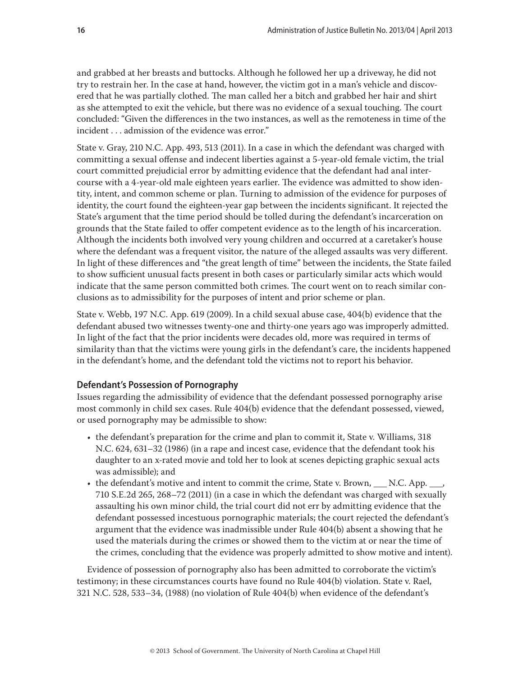and grabbed at her breasts and buttocks. Although he followed her up a driveway, he did not try to restrain her. In the case at hand, however, the victim got in a man's vehicle and discovered that he was partially clothed. The man called her a bitch and grabbed her hair and shirt as she attempted to exit the vehicle, but there was no evidence of a sexual touching. The court concluded: "Given the differences in the two instances, as well as the remoteness in time of the incident . . . admission of the evidence was error."

State v. Gray, 210 N.C. App. 493, 513 (2011). In a case in which the defendant was charged with committing a sexual offense and indecent liberties against a 5-year-old female victim, the trial court committed prejudicial error by admitting evidence that the defendant had anal intercourse with a 4-year-old male eighteen years earlier. The evidence was admitted to show identity, intent, and common scheme or plan. Turning to admission of the evidence for purposes of identity, the court found the eighteen-year gap between the incidents significant. It rejected the State's argument that the time period should be tolled during the defendant's incarceration on grounds that the State failed to offer competent evidence as to the length of his incarceration. Although the incidents both involved very young children and occurred at a caretaker's house where the defendant was a frequent visitor, the nature of the alleged assaults was very different. In light of these differences and "the great length of time" between the incidents, the State failed to show sufficient unusual facts present in both cases or particularly similar acts which would indicate that the same person committed both crimes. The court went on to reach similar conclusions as to admissibility for the purposes of intent and prior scheme or plan.

State v. Webb, 197 N.C. App. 619 (2009). In a child sexual abuse case, 404(b) evidence that the defendant abused two witnesses twenty-one and thirty-one years ago was improperly admitted. In light of the fact that the prior incidents were decades old, more was required in terms of similarity than that the victims were young girls in the defendant's care, the incidents happened in the defendant's home, and the defendant told the victims not to report his behavior.

#### **Defendant's Possession of Pornography**

Issues regarding the admissibility of evidence that the defendant possessed pornography arise most commonly in child sex cases. Rule 404(b) evidence that the defendant possessed, viewed, or used pornography may be admissible to show:

- the defendant's preparation for the crime and plan to commit it, State v. Williams, 318 N.C. 624, 631–32 (1986) (in a rape and incest case, evidence that the defendant took his daughter to an x-rated movie and told her to look at scenes depicting graphic sexual acts was admissible); and
- the defendant's motive and intent to commit the crime, State v. Brown, N.C. App. 710 S.E.2d 265, 268–72 (2011) (in a case in which the defendant was charged with sexually assaulting his own minor child, the trial court did not err by admitting evidence that the defendant possessed incestuous pornographic materials; the court rejected the defendant's argument that the evidence was inadmissible under Rule 404(b) absent a showing that he used the materials during the crimes or showed them to the victim at or near the time of the crimes, concluding that the evidence was properly admitted to show motive and intent).

Evidence of possession of pornography also has been admitted to corroborate the victim's testimony; in these circumstances courts have found no Rule 404(b) violation. State v. Rael, 321 N.C. 528, 533–34, (1988) (no violation of Rule 404(b) when evidence of the defendant's